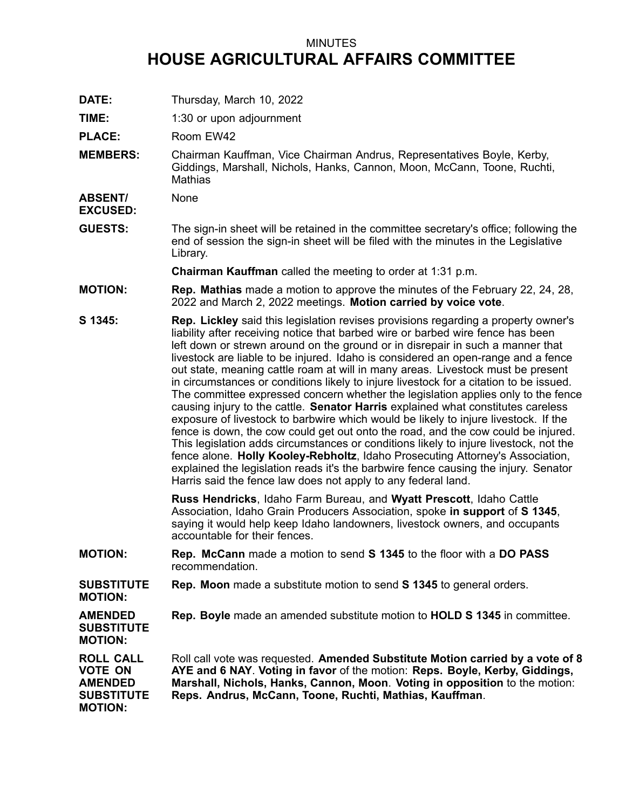## MINUTES **HOUSE AGRICULTURAL AFFAIRS COMMITTEE**

- **DATE:** Thursday, March 10, 2022
- **TIME:** 1:30 or upon adjournment

PLACE: Room EW42

**MEMBERS:** Chairman Kauffman, Vice Chairman Andrus, Representatives Boyle, Kerby, Giddings, Marshall, Nichols, Hanks, Cannon, Moon, McCann, Toone, Ruchti, **Mathias** 

**ABSENT/** None

**EXCUSED:**

**GUESTS:** The sign-in sheet will be retained in the committee secretary's office; following the end of session the sign-in sheet will be filed with the minutes in the Legislative Library.

**Chairman Kauffman** called the meeting to order at 1:31 p.m.

- **MOTION: Rep. Mathias** made <sup>a</sup> motion to approve the minutes of the February 22, 24, 28, 2022 and March 2, 2022 meetings. **Motion carried by voice vote**.
- **S 1345: Rep. Lickley** said this legislation revises provisions regarding <sup>a</sup> property owner's liability after receiving notice that barbed wire or barbed wire fence has been left down or strewn around on the ground or in disrepair in such <sup>a</sup> manner that livestock are liable to be injured. Idaho is considered an open-range and <sup>a</sup> fence out state, meaning cattle roam at will in many areas. Livestock must be present in circumstances or conditions likely to injure livestock for <sup>a</sup> citation to be issued. The committee expressed concern whether the legislation applies only to the fence causing injury to the cattle. **Senator Harris** explained what constitutes careless exposure of livestock to barbwire which would be likely to injure livestock. If the fence is down, the cow could get out onto the road, and the cow could be injured. This legislation adds circumstances or conditions likely to injure livestock, not the fence alone. **Holly Kooley-Rebholtz**, Idaho Prosecuting Attorney's Association, explained the legislation reads it's the barbwire fence causing the injury. Senator Harris said the fence law does not apply to any federal land.

**Russ Hendricks**, Idaho Farm Bureau, and **Wyatt Prescott**, Idaho Cattle Association, Idaho Grain Producers Association, spoke **in support** of **S 1345**, saying it would help keep Idaho landowners, livestock owners, and occupants accountable for their fences.

- **MOTION: Rep. McCann** made <sup>a</sup> motion to send **S 1345** to the floor with <sup>a</sup> **DO PASS** recommendation.
- **SUBSTITUTE MOTION: Rep. Moon** made <sup>a</sup> substitute motion to send **S 1345** to general orders.

**AMENDED Rep. Boyle** made an amended substitute motion to **HOLD S 1345** in committee.

**SUBSTITUTE MOTION:**

**ROLL CALL VOTE ON AMENDED SUBSTITUTE MOTION:** Roll call vote was requested. **Amended Substitute Motion carried by <sup>a</sup> vote of 8 AYE and 6 NAY**. **Voting in favor** of the motion: **Reps. Boyle, Kerby, Giddings, Marshall, Nichols, Hanks, Cannon, Moon**. **Voting in opposition** to the motion: **Reps. Andrus, McCann, Toone, Ruchti, Mathias, Kauffman**.